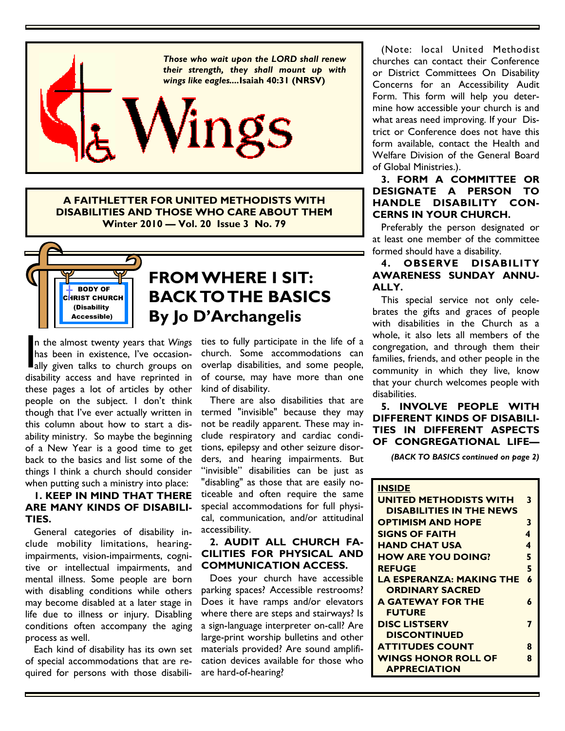

**A FAITHLETTER FOR UNITED METHODISTS WITH DISABILITIES AND THOSE WHO CARE ABOUT THEM Winter 2010 — Vol. 20 Issue 3 No. 79** 



# **FROM WHERE I SIT: BACK TO THE BASICS By Jo D'Archangelis**

In the almost twenty years that Wings<br>has been in existence, I've occasion-<br>ally given talks to church groups on<br>disability access and have reprinted in n the almost twenty years that *Wings*  has been in existence, I've occasiondisability access and have reprinted in these pages a lot of articles by other people on the subject. I don't think though that I've ever actually written in this column about how to start a disability ministry. So maybe the beginning of a New Year is a good time to get back to the basics and list some of the things I think a church should consider when putting such a ministry into place:

## **1. KEEP IN MIND THAT THERE ARE MANY KINDS OF DISABILI-TIES.**

 General categories of disability include mobility limitations, hearingimpairments, vision-impairments, cognitive or intellectual impairments, and mental illness. Some people are born with disabling conditions while others may become disabled at a later stage in life due to illness or injury. Disabling conditions often accompany the aging process as well.

 Each kind of disability has its own set of special accommodations that are required for persons with those disabilities to fully participate in the life of a church. Some accommodations can overlap disabilities, and some people, of course, may have more than one kind of disability.

 There are also disabilities that are termed "invisible" because they may not be readily apparent. These may include respiratory and cardiac conditions, epilepsy and other seizure disorders, and hearing impairments. But "invisible" disabilities can be just as "disabling" as those that are easily noticeable and often require the same special accommodations for full physical, communication, and/or attitudinal accessibility.

#### **2. AUDIT ALL CHURCH FA-CILITIES FOR PHYSICAL AND COMMUNICATION ACCESS.**

Does your church have accessible parking spaces? Accessible restrooms? Does it have ramps and/or elevators where there are steps and stairways? Is a sign-language interpreter on-call? Are large-print worship bulletins and other materials provided? Are sound amplification devices available for those who are hard-of-hearing?

 (Note: local United Methodist churches can contact their Conference or District Committees On Disability Concerns for an Accessibility Audit Form. This form will help you determine how accessible your church is and what areas need improving. If your District or Conference does not have this form available, contact the Health and Welfare Division of the General Board of Global Ministries.).

## **3. FORM A COMMITTEE OR DESIGNATE A PERSON TO HANDLE DISABILITY CON-CERNS IN YOUR CHURCH.**

 Preferably the person designated or at least one member of the committee formed should have a disability.

#### **4. OBSERVE DISABILITY AWARENESS SUNDAY ANNU-ALLY.**

This special service not only celebrates the gifts and graces of people with disabilities in the Church as a whole, it also lets all members of the congregation, and through them their families, friends, and other people in the community in which they live, know that your church welcomes people with disabilities.

 **5. INVOLVE PEOPLE WITH DIFFERENT KINDS OF DISABILI-TIES IN DIFFERENT ASPECTS OF CONGREGATIONAL LIFE—**

*(BACK TO BASICS continued on page 2)*

| <b>INSIDE</b><br><b>UNITED METHODISTS WITH</b><br><b>DISABILITIES IN THE NEWS</b> | 3 |
|-----------------------------------------------------------------------------------|---|
| <b>OPTIMISM AND HOPE</b>                                                          | 3 |
| <b>SIGNS OF FAITH</b>                                                             | 4 |
| <b>HAND CHAT USA</b>                                                              | 4 |
| <b>HOW ARE YOU DOING?</b>                                                         | 5 |
| <b>REFUGE</b>                                                                     | 5 |
| <b>LA ESPERANZA: MAKING THE</b>                                                   | 6 |
| <b>ORDINARY SACRED</b>                                                            |   |
| <b>A GATEWAY FOR THE</b>                                                          | 6 |
| <b>FUTURE</b>                                                                     |   |
| <b>DISC LISTSERV</b>                                                              | 7 |
| <b>DISCONTINUED</b>                                                               |   |
| <b>ATTITUDES COUNT</b>                                                            | 8 |
| <b>WINGS HONOR ROLL OF</b>                                                        | Զ |
| <b>APPRECIATION</b>                                                               |   |
|                                                                                   |   |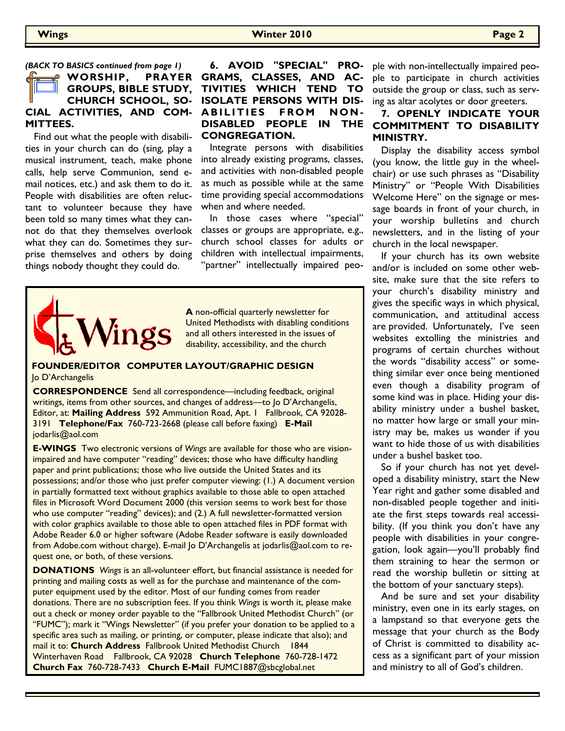*(BACK TO BASICS continued from page 1)*

#### **WORSHIP, PRAYER GROUPS, BIBLE STUDY, CHURCH SCHOOL, SO-CIAL ACTIVITIES, AND COM-MITTEES.**

 Find out what the people with disabilities in your church can do (sing, play a musical instrument, teach, make phone calls, help serve Communion, send email notices, etc.) and ask them to do it. People with disabilities are often reluctant to volunteer because they have been told so many times what they cannot do that they themselves overlook what they can do. Sometimes they surprise themselves and others by doing things nobody thought they could do.

## **6. AVOID "SPECIAL" PRO-GRAMS, CLASSES, AND AC-TIVITIES WHICH TEND TO ISOLATE PERSONS WITH DIS-ABILITIES FROM NON-DISABLED PEOPLE IN THE CONGREGATION.**

 Integrate persons with disabilities into already existing programs, classes, and activities with non-disabled people as much as possible while at the same time providing special accommodations when and where needed.

 In those cases where "special" classes or groups are appropriate, e.g., church school classes for adults or children with intellectual impairments, "partner" intellectually impaired peo-



**A** non-official quarterly newsletter for United Methodists with disabling conditions and all others interested in the issues of disability, accessibility, and the church

#### **FOUNDER/EDITOR COMPUTER LAYOUT/GRAPHIC DESIGN**  Jo D'Archangelis

**CORRESPONDENCE** Send all correspondence—including feedback, original writings, items from other sources, and changes of address—to Jo D'Archangelis, Editor, at: **Mailing Address** 592 Ammunition Road, Apt. 1 Fallbrook, CA 92028- 3191 **Telephone/Fax** 760-723-2668 (please call before faxing) **E-Mail**  jodarlis@aol.com

**E-WINGS** Two electronic versions of *Wings* are available for those who are visionimpaired and have computer "reading" devices; those who have difficulty handling paper and print publications; those who live outside the United States and its possessions; and/or those who just prefer computer viewing: (1.) A document version in partially formatted text without graphics available to those able to open attached files in Microsoft Word Document 2000 (this version seems to work best for those who use computer "reading" devices); and (2.) A full newsletter-formatted version with color graphics available to those able to open attached files in PDF format with Adobe Reader 6.0 or higher software (Adobe Reader software is easily downloaded from Adobe.com without charge). E-mail Jo D'Archangelis at jodarlis@aol.com to request one, or both, of these versions.

**DONATIONS** *Wings* is an all-volunteer effort, but financial assistance is needed for printing and mailing costs as well as for the purchase and maintenance of the computer equipment used by the editor. Most of our funding comes from reader donations. There are no subscription fees. If you think *Wings* is worth it, please make out a check or money order payable to the "Fallbrook United Methodist Church" (or "FUMC"); mark it "Wings Newsletter" (if you prefer your donation to be applied to a specific area such as mailing, or printing, or computer, please indicate that also); and mail it to: **Church Address** Fallbrook United Methodist Church 1844 Winterhaven Road Fallbrook, CA 92028 **Church Telephone** 760-728-1472 **Church Fax** 760-728-7433 **Church E-Mail** FUMC1887@sbcglobal.net

ple with non-intellectually impaired people to participate in church activities outside the group or class, such as serving as altar acolytes or door greeters.

## **7. OPENLY INDICATE YOUR COMMITMENT TO DISABILITY MINISTRY.**

 Display the disability access symbol (you know, the little guy in the wheelchair) or use such phrases as "Disability Ministry" or "People With Disabilities Welcome Here" on the signage or message boards in front of your church, in your worship bulletins and church newsletters, and in the listing of your church in the local newspaper.

 If your church has its own website and/or is included on some other website, make sure that the site refers to your church's disability ministry and gives the specific ways in which physical, communication, and attitudinal access are provided. Unfortunately, I've seen websites extolling the ministries and programs of certain churches without the words "disability access" or something similar ever once being mentioned even though a disability program of some kind was in place. Hiding your disability ministry under a bushel basket, no matter how large or small your ministry may be, makes us wonder if you want to hide those of us with disabilities under a bushel basket too.

 So if your church has not yet developed a disability ministry, start the New Year right and gather some disabled and non-disabled people together and initiate the first steps towards real accessibility. (If you think you don't have any people with disabilities in your congregation, look again—you'll probably find them straining to hear the sermon or read the worship bulletin or sitting at the bottom of your sanctuary steps).

 And be sure and set your disability ministry, even one in its early stages, on a lampstand so that everyone gets the message that your church as the Body of Christ is committed to disability access as a significant part of your mission and ministry to all of God's children.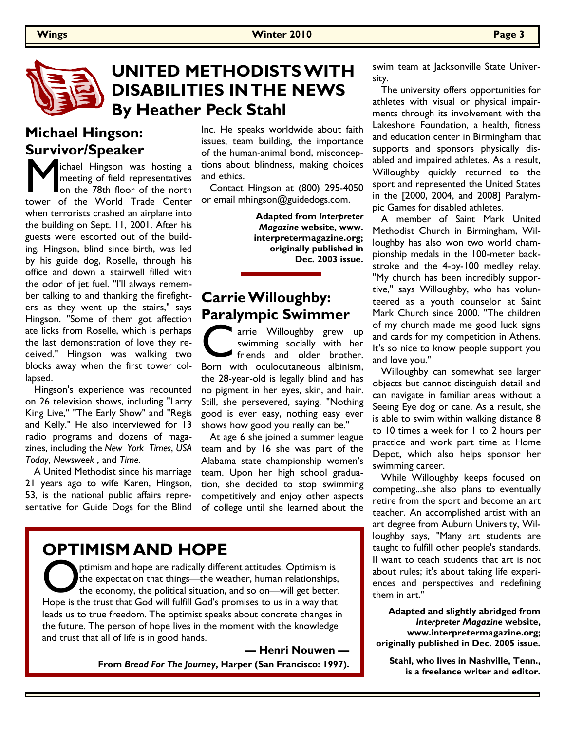

## **UNITED METHODISTS WITH DISABILITIES IN THE NEWS By Heather Peck Stahl**

## **Michael Hingson: Survivor/Speaker**

**M** ichael Hingson was hosting a<br>meeting of field representatives<br>on the 78th floor of the north<br>tower of the World Trade Center ichael Hingson was hosting a meeting of field representatives on the 78th floor of the north when terrorists crashed an airplane into the building on Sept. 11, 2001. After his guests were escorted out of the building, Hingson, blind since birth, was led by his guide dog, Roselle, through his office and down a stairwell filled with the odor of jet fuel. "I'll always remember talking to and thanking the firefighters as they went up the stairs," says Hingson. "Some of them got affection ate licks from Roselle, which is perhaps the last demonstration of love they received." Hingson was walking two blocks away when the first tower collapsed.

 Hingson's experience was recounted on 26 television shows, including "Larry King Live," "The Early Show" and "Regis and Kelly." He also interviewed for 13 radio programs and dozens of magazines, including the *New York Times*, *USA Today*, *Newsweek ,* and *Time*.

 A United Methodist since his marriage 21 years ago to wife Karen, Hingson, 53, is the national public affairs representative for Guide Dogs for the Blind Inc. He speaks worldwide about faith issues, team building, the importance of the human-animal bond, misconceptions about blindness, making choices and ethics.

 Contact Hingson at (800) 295-4050 or email mhingson@guidedogs.com.

> **Adapted from** *Interpreter Magazine* **website, www. interpretermagazine.org; originally published in Dec. 2003 issue.**

## **Carrie Willoughby: Paralympic Swimmer**

The Willoughby grew up<br>
swimming socially with her<br>
friends and older brother.<br>
Born with oculocutaneous albinism, arrie Willoughby grew up swimming socially with her friends and older brother. the 28-year-old is legally blind and has no pigment in her eyes, skin, and hair. Still, she persevered, saying, "Nothing good is ever easy, nothing easy ever shows how good you really can be."

 At age 6 she joined a summer league team and by 16 she was part of the Alabama state championship women's team. Upon her high school graduation, she decided to stop swimming competitively and enjoy other aspects of college until she learned about the

## **OPTIMISM AND HOPE**

Optimism and hope are radically different attitudes. Optimism is<br>the expectation that things—the weather, human relationships,<br>the economy, the political situation, and so on—will get better.<br>Hope is the trust that God wil ptimism and hope are radically different attitudes. Optimism is the expectation that things—the weather, human relationships, the economy, the political situation, and so on—will get better. leads us to true freedom. The optimist speaks about concrete changes in the future. The person of hope lives in the moment with the knowledge and trust that all of life is in good hands.

> **— Henri Nouwen — From** *Bread For The Journey***, Harper (San Francisco: 1997).**

swim team at Jacksonville State University.

 The university offers opportunities for athletes with visual or physical impairments through its involvement with the Lakeshore Foundation, a health, fitness and education center in Birmingham that supports and sponsors physically disabled and impaired athletes. As a result, Willoughby quickly returned to the sport and represented the United States in the [2000, 2004, and 2008] Paralympic Games for disabled athletes.

 A member of Saint Mark United Methodist Church in Birmingham, Willoughby has also won two world championship medals in the 100-meter backstroke and the 4-by-100 medley relay. "My church has been incredibly supportive," says Willoughby, who has volunteered as a youth counselor at Saint Mark Church since 2000. "The children of my church made me good luck signs and cards for my competition in Athens. It's so nice to know people support you and love you."

 Willoughby can somewhat see larger objects but cannot distinguish detail and can navigate in familiar areas without a Seeing Eye dog or cane. As a result, she is able to swim within walking distance 8 to 10 times a week for 1 to 2 hours per practice and work part time at Home Depot, which also helps sponsor her swimming career.

 While Willoughby keeps focused on competing...she also plans to eventually retire from the sport and become an art teacher. An accomplished artist with an art degree from Auburn University, Willoughby says, "Many art students are taught to fulfill other people's standards. II want to teach students that art is not about rules; it's about taking life experiences and perspectives and redefining them in art."

**Adapted and slightly abridged from**  *Interpreter Magazine* **website, www.interpretermagazine.org; originally published in Dec. 2005 issue.** 

**Stahl, who lives in Nashville, Tenn., is a freelance writer and editor.**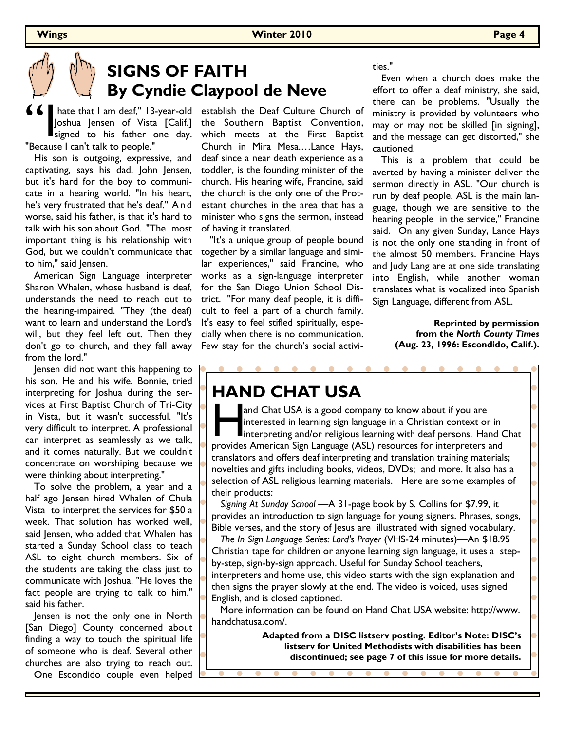# **SIGNS OF FAITH By Cyndie Claypool de Neve**

**66** hate that I am deaf," 13-<br>Joshua Jensen of Vista<br>"Because I can't talk to people." Joshua Jensen of Vista [Calif.] signed to his father one day.

 His son is outgoing, expressive, and captivating, says his dad, John Jensen, but it's hard for the boy to communicate in a hearing world. "In his heart, he's very frustrated that he's deaf." A n d worse, said his father, is that it's hard to talk with his son about God. "The most important thing is his relationship with God, but we couldn't communicate that together by a similar language and simito him," said Jensen.

 American Sign Language interpreter Sharon Whalen, whose husband is deaf, understands the need to reach out to the hearing-impaired. "They (the deaf) want to learn and understand the Lord's will, but they feel left out. Then they don't go to church, and they fall away from the lord."

 Jensen did not want this happening to his son. He and his wife, Bonnie, tried interpreting for Joshua during the services at First Baptist Church of Tri-City in Vista, but it wasn't successful. "It's very difficult to interpret. A professional can interpret as seamlessly as we talk, and it comes naturally. But we couldn't concentrate on worshiping because we were thinking about interpreting."

 To solve the problem, a year and a half ago Jensen hired Whalen of Chula Vista to interpret the services for \$50 a week. That solution has worked well, said Jensen, who added that Whalen has started a Sunday School class to teach ASL to eight church members. Six of the students are taking the class just to communicate with Joshua. "He loves the fact people are trying to talk to him." said his father.

 Jensen is not the only one in North [San Diego] County concerned about finding a way to touch the spiritual life of someone who is deaf. Several other churches are also trying to reach out.

One Escondido couple even helped

 hate that I am deaf," 13-year-old establish the Deaf Culture Church of the Southern Baptist Convention, which meets at the First Baptist Church in Mira Mesa.…Lance Hays, deaf since a near death experience as a toddler, is the founding minister of the church. His hearing wife, Francine, said the church is the only one of the Protestant churches in the area that has a minister who signs the sermon, instead of having it translated.

> "It's a unique group of people bound lar experiences," said Francine, who works as a sign-language interpreter for the San Diego Union School District. ''For many deaf people, it is difficult to feel a part of a church family. It's easy to feel stifled spiritually, especially when there is no communication. Few stay for the church's social activi

ties."

 Even when a church does make the effort to offer a deaf ministry, she said, there can be problems. "Usually the ministry is provided by volunteers who may or may not be skilled [in signing], and the message can get distorted," she cautioned.

 This is a problem that could be averted by having a minister deliver the sermon directly in ASL. "Our church is run by deaf people. ASL is the main language, though we are sensitive to the hearing people in the service," Francine said. On any given Sunday, Lance Hays is not the only one standing in front of the almost 50 members. Francine Hays and Judy Lang are at one side translating into English, while another woman translates what is vocalized into Spanish Sign Language, different from ASL.

> **Reprinted by permission from the** *North County Times* **(Aug. 23, 1996: Escondido, Calif.).**

## **HAND CHAT USA**

and Chat USA is a good company to know about if you are<br>interested in learning sign language in a Christian context or in<br>interpreting and/or religious learning with deaf persons. Hand C<br>provides American Sign Language (AS and Chat USA is a good company to know about if you are interested in learning sign language in a Christian context or in interpreting and/or religious learning with deaf persons. Hand Chat translators and offers deaf interpreting and translation training materials; novelties and gifts including books, videos, DVDs; and more. It also has a selection of ASL religious learning materials. Here are some examples of their products:

 *Signing At Sunday School —*A 31-page book by S. Collins for \$7.99, it provides an introduction to sign language for young signers. Phrases, songs, Bible verses, and the story of Jesus are illustrated with signed vocabulary.

 *The In Sign Language Series: Lord's Prayer* (VHS-24 minutes)—An \$18.95 Christian tape for children or anyone learning sign language, it uses a stepby-step, sign-by-sign approach. Useful for Sunday School teachers, interpreters and home use, this video starts with the sign explanation and then signs the prayer slowly at the end. The video is voiced, uses signed English, and is closed captioned.

 More information can be found on Hand Chat USA website: http://www. handchatusa.com/.

> **Adapted from a DISC listserv posting. Editor's Note: DISC's listserv for United Methodists with disabilities has been discontinued; see page 7 of this issue for more details.**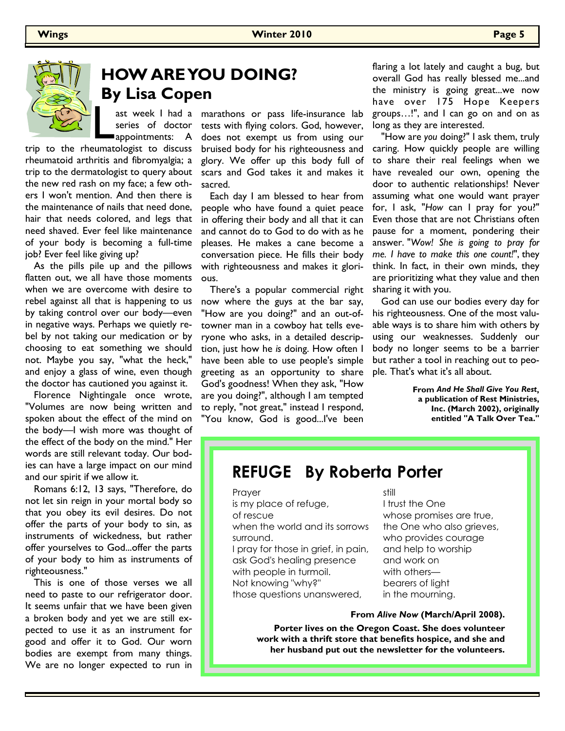

# **HOW ARE YOU DOING? By Lisa Copen**

series of doctor appointments: A

rheumatoid arthritis and fibromyalgia; a trip to the dermatologist to query about the new red rash on my face; a few others I won't mention. And then there is the maintenance of nails that need done, hair that needs colored, and legs that need shaved. Ever feel like maintenance of your body is becoming a full-time job? Ever feel like giving up?

 As the pills pile up and the pillows flatten out, we all have those moments when we are overcome with desire to rebel against all that is happening to us by taking control over our body—even in negative ways. Perhaps we quietly rebel by not taking our medication or by choosing to eat something we should not. Maybe you say, "what the heck," and enjoy a glass of wine, even though the doctor has cautioned you against it.

 Florence Nightingale once wrote, "Volumes are now being written and spoken about the effect of the mind on the body—I wish more was thought of the effect of the body on the mind." Her words are still relevant today. Our bodies can have a large impact on our mind and our spirit if we allow it.

 Romans 6:12, 13 says, "Therefore, do not let sin reign in your mortal body so that you obey its evil desires. Do not offer the parts of your body to sin, as instruments of wickedness, but rather offer yourselves to God...offer the parts of your body to him as instruments of righteousness."

 This is one of those verses we all need to paste to our refrigerator door. It seems unfair that we have been given a broken body and yet we are still expected to use it as an instrument for good and offer it to God. Our worn bodies are exempt from many things. We are no longer expected to run in

ast week I had a marathons or pass life-insurance lab tests with flying colors. God, however, does not exempt us from using our bruised body for his righteousness and glory. We offer up this body full of scars and God takes it and makes it sacred.

> Each day I am blessed to hear from people who have found a quiet peace in offering their body and all that it can and cannot do to God to do with as he pleases. He makes a cane become a conversation piece. He fills their body with righteousness and makes it glorious.

 There's a popular commercial right now where the guys at the bar say, "How are you doing?" and an out-oftowner man in a cowboy hat tells everyone who asks, in a detailed description, just how he *is* doing. How often I have been able to use people's simple greeting as an opportunity to share God's goodness! When they ask, "How are you doing?", although I am tempted to reply, "not great," instead I respond, "You know, God is good...I've been

flaring a lot lately and caught a bug, but overall God has really blessed me...and the ministry is going great...we now have over 175 Hope Keepers groups…!", and I can go on and on as long as they are interested.

 "How are *you* doing?" I ask them, truly caring. How quickly people are willing to share their real feelings when we have revealed our own, opening the door to authentic relationships! Never assuming what one would want prayer for, I ask, "*How* can I pray for you?" Even those that are not Christians often pause for a moment, pondering their answer. "*Wow! She is going to pray for me. I have to make this one count!*", they think. In fact, in their own minds, they are prioritizing what they value and then sharing it with you.

 God can use our bodies every day for his righteousness. One of the most valuable ways is to share him with others by using our weaknesses. Suddenly our body no longer seems to be a barrier but rather a tool in reaching out to people. That's what it's all about.

> **From** *And He Shall Give You Rest***, a publication of Rest Ministries, Inc. (March 2002), originally entitled "A Talk Over Tea."**

## **REFUGE By Roberta Porter**

Prayer

is my place of refuge,

of rescue

when the world and its sorrows surround.

I pray for those in grief, in pain, ask God's healing presence with people in turmoil. Not knowing "why?" those questions unanswered,

still

I trust the One whose promises are true, the One who also grieves, who provides courage and help to worship and work on with others bearers of light in the mourning.

#### **From** *Alive Now* **(March/April 2008).**

**Porter lives on the Oregon Coast. She does volunteer work with a thrift store that benefits hospice, and she and her husband put out the newsletter for the volunteers.**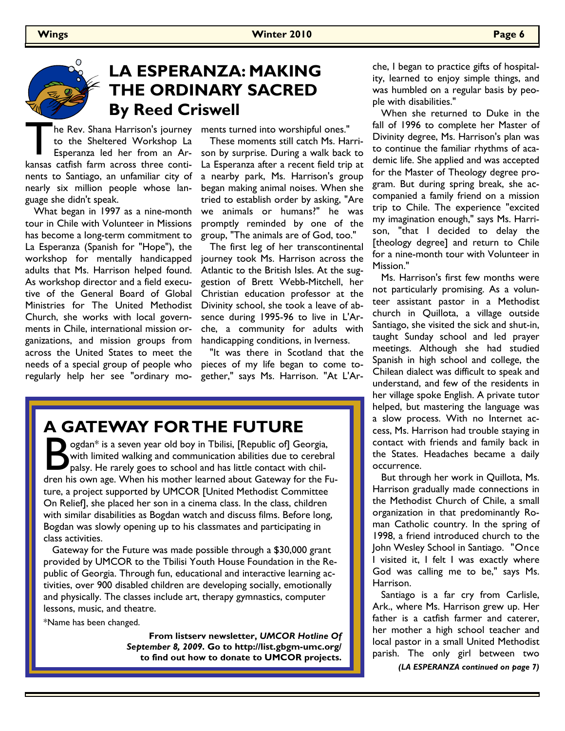$\Omega$ 

# **LA ESPERANZA: MAKING THE ORDINARY SACRED By Reed Criswell**

The Rev. Shana Harrison's journey<br>to the Sheltered Workshop La<br>Esperanza led her from an Ar-<br>kansas catfish farm across three contito the Sheltered Workshop La Esperanza led her from an Arnents to Santiago, an unfamiliar city of nearly six million people whose language she didn't speak.

 What began in 1997 as a nine-month tour in Chile with Volunteer in Missions has become a long-term commitment to La Esperanza (Spanish for "Hope"), the workshop for mentally handicapped adults that Ms. Harrison helped found. As workshop director and a field executive of the General Board of Global Ministries for The United Methodist Church, she works with local governments in Chile, international mission organizations, and mission groups from across the United States to meet the needs of a special group of people who regularly help her see "ordinary mo-

he Rev. Shana Harrison's journey ments turned into worshipful ones."

 These moments still catch Ms. Harrison by surprise. During a walk back to La Esperanza after a recent field trip at a nearby park, Ms. Harrison's group began making animal noises. When she tried to establish order by asking, "Are we animals or humans?" he was promptly reminded by one of the group, "The animals are of God, too."

 The first leg of her transcontinental journey took Ms. Harrison across the Atlantic to the British Isles. At the suggestion of Brett Webb-Mitchell, her Christian education professor at the Divinity school, she took a leave of absence during 1995-96 to live in L'Arche, a community for adults with handicapping conditions, in Iverness.

 "It was there in Scotland that the pieces of my life began to come together," says Ms. Harrison. "At L'Ar-

## **A GATEWAY FOR THE FUTURE**

Solan\* is a seven year old boy in Tbilisi, [Republic of] Georgia, with limited walking and communication abilities due to cerebral palsy. He rarely goes to school and has little contact with children his own age. When his ogdan\* is a seven year old boy in Tbilisi, [Republic of] Georgia, with limited walking and communication abilities due to cerebral palsy. He rarely goes to school and has little contact with chilture, a project supported by UMCOR [United Methodist Committee On Relief], she placed her son in a cinema class. In the class, children with similar disabilities as Bogdan watch and discuss films. Before long, Bogdan was slowly opening up to his classmates and participating in class activities.

 Gateway for the Future was made possible through a \$30,000 grant provided by UMCOR to the Tbilisi Youth House Foundation in the Republic of Georgia. Through fun, educational and interactive learning activities, over 900 disabled children are developing socially, emotionally and physically. The classes include art, therapy gymnastics, computer lessons, music, and theatre.

\*Name has been changed.

**From listserv newsletter,** *UMCOR Hotline Of September 8, 2009***. Go to http://list.gbgm-umc.org/ to find out how to donate to UMCOR projects.** 

che, I began to practice gifts of hospitality, learned to enjoy simple things, and was humbled on a regular basis by people with disabilities."

 When she returned to Duke in the fall of 1996 to complete her Master of Divinity degree, Ms. Harrison's plan was to continue the familiar rhythms of academic life. She applied and was accepted for the Master of Theology degree program. But during spring break, she accompanied a family friend on a mission trip to Chile. The experience "excited my imagination enough," says Ms. Harrison, "that I decided to delay the [theology degree] and return to Chile for a nine-month tour with Volunteer in Mission."

 Ms. Harrison's first few months were not particularly promising. As a volunteer assistant pastor in a Methodist church in Quillota, a village outside Santiago, she visited the sick and shut-in, taught Sunday school and led prayer meetings. Although she had studied Spanish in high school and college, the Chilean dialect was difficult to speak and understand, and few of the residents in her village spoke English. A private tutor helped, but mastering the language was a slow process. With no Internet access, Ms. Harrison had trouble staying in contact with friends and family back in the States. Headaches became a daily occurrence.

 But through her work in Quillota, Ms. Harrison gradually made connections in the Methodist Church of Chile, a small organization in that predominantly Roman Catholic country. In the spring of 1998, a friend introduced church to the John Wesley School in Santiago. "Once I visited it, I felt I was exactly where God was calling me to be," says Ms. Harrison.

 Santiago is a far cry from Carlisle, Ark., where Ms. Harrison grew up. Her father is a catfish farmer and caterer, her mother a high school teacher and local pastor in a small United Methodist parish. The only girl between two

*(LA ESPERANZA continued on page 7)*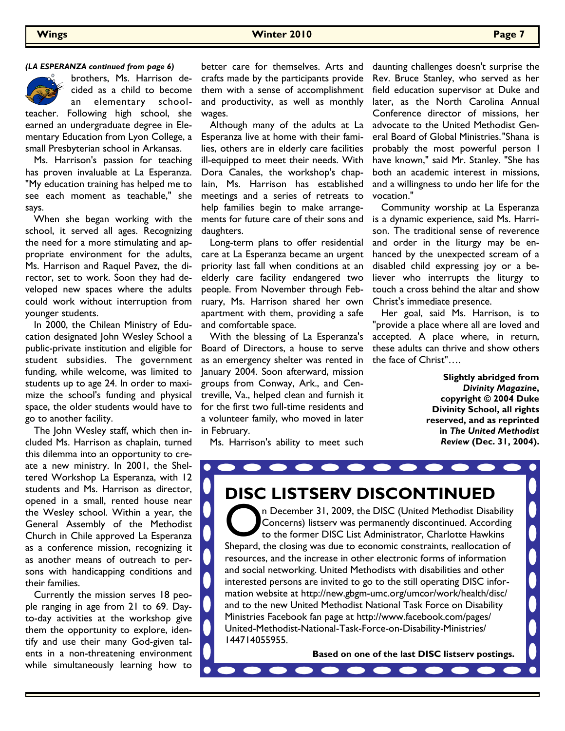#### *(LA ESPERANZA continued from page 6)*



brothers, Ms. Harrison decided as a child to become an elementary schoolteacher. Following high school, she

earned an undergraduate degree in Elementary Education from Lyon College, a small Presbyterian school in Arkansas.

 Ms. Harrison's passion for teaching has proven invaluable at La Esperanza. "My education training has helped me to see each moment as teachable," she says.

 When she began working with the school, it served all ages. Recognizing the need for a more stimulating and appropriate environment for the adults, Ms. Harrison and Raquel Pavez, the director, set to work. Soon they had developed new spaces where the adults could work without interruption from younger students.

 In 2000, the Chilean Ministry of Education designated John Wesley School a public-private institution and eligible for student subsidies. The government funding, while welcome, was limited to students up to age 24. In order to maximize the school's funding and physical space, the older students would have to go to another facility.

 The John Wesley staff, which then included Ms. Harrison as chaplain, turned this dilemma into an opportunity to create a new ministry. In 2001, the Sheltered Workshop La Esperanza, with 12 students and Ms. Harrison as director, opened in a small, rented house near the Wesley school. Within a year, the General Assembly of the Methodist Church in Chile approved La Esperanza as a conference mission, recognizing it as another means of outreach to persons with handicapping conditions and their families.

 Currently the mission serves 18 people ranging in age from 21 to 69. Dayto-day activities at the workshop give them the opportunity to explore, identify and use their many God-given talents in a non-threatening environment while simultaneously learning how to

better care for themselves. Arts and crafts made by the participants provide them with a sense of accomplishment and productivity, as well as monthly wages.

 Although many of the adults at La Esperanza live at home with their families, others are in elderly care facilities ill-equipped to meet their needs. With Dora Canales, the workshop's chaplain, Ms. Harrison has established meetings and a series of retreats to help families begin to make arrangements for future care of their sons and daughters.

 Long-term plans to offer residential care at La Esperanza became an urgent priority last fall when conditions at an elderly care facility endangered two people. From November through February, Ms. Harrison shared her own apartment with them, providing a safe and comfortable space.

 With the blessing of La Esperanza's Board of Directors, a house to serve as an emergency shelter was rented in January 2004. Soon afterward, mission groups from Conway, Ark., and Centreville, Va., helped clean and furnish it for the first two full-time residents and a volunteer family, who moved in later in February.

daunting challenges doesn't surprise the Rev. Bruce Stanley, who served as her field education supervisor at Duke and later, as the North Carolina Annual Conference director of missions, her advocate to the United Methodist General Board of Global Ministries. "Shana is probably the most powerful person I have known," said Mr. Stanley. "She has both an academic interest in missions, and a willingness to undo her life for the vocation."

 Community worship at La Esperanza is a dynamic experience, said Ms. Harrison. The traditional sense of reverence and order in the liturgy may be enhanced by the unexpected scream of a disabled child expressing joy or a believer who interrupts the liturgy to touch a cross behind the altar and show Christ's immediate presence.

 Her goal, said Ms. Harrison, is to "provide a place where all are loved and accepted. A place where, in return, these adults can thrive and show others the face of Christ"….

> **Slightly abridged from**  *Divinity Magazine***, copyright © 2004 Duke Divinity School, all rights reserved, and as reprinted in** *The United Methodist Review* **(Dec. 31, 2004).**

Ms. Harrison's ability to meet such

# **DISC LISTSERV DISCONTINUED**

 $\blacksquare$ 

On December 31, 2009, the DISC (United Methodist Disability<br>Concerns) listserv was permanently discontinued. According<br>to the former DISC List Administrator, Charlotte Hawkins<br>Shepard, the closing was due to economic const n December 31, 2009, the DISC (United Methodist Disability Concerns) listserv was permanently discontinued. According to the former DISC List Administrator, Charlotte Hawkins resources, and the increase in other electronic forms of information and social networking. United Methodists with disabilities and other interested persons are invited to go to the still operating DISC information website at http://new.gbgm-umc.org/umcor/work/health/disc/ and to the new United Methodist National Task Force on Disability Ministries Facebook fan page at http://www.facebook.com/pages/ United-Methodist-National-Task-Force-on-Disability-Ministries/ 144714055955.

 $\bullet$   $\bullet$   $\bullet$ 

**Based on one of the last DISC listserv postings.**